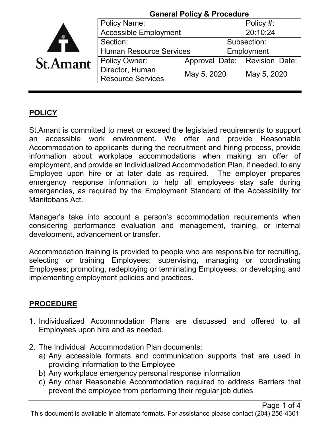|                 | <b>General Policy &amp; Procedure</b>       |                                 |             |             |
|-----------------|---------------------------------------------|---------------------------------|-------------|-------------|
|                 | <b>Policy Name:</b>                         |                                 |             | Policy #:   |
|                 | <b>Accessible Employment</b>                |                                 |             | 20:10:24    |
|                 | Section:                                    |                                 | Subsection: |             |
|                 | <b>Human Resource Services</b>              |                                 | Employment  |             |
| <b>St.Amant</b> | <b>Policy Owner:</b>                        | Approval Date:   Revision Date: |             |             |
|                 | Director, Human<br><b>Resource Services</b> | May 5, 2020                     |             | May 5, 2020 |

## **POLICY**

St.Amant is committed to meet or exceed the legislated requirements to support an accessible work environment. We offer and provide Reasonable Accommodation to applicants during the recruitment and hiring process, provide information about workplace accommodations when making an offer of employment, and provide an Individualized Accommodation Plan, if needed, to any Employee upon hire or at later date as required. The employer prepares emergency response information to help all employees stay safe during emergencies, as required by the Employment Standard of the Accessibility for Manitobans Act.

Manager's take into account a person's accommodation requirements when considering performance evaluation and management, training, or internal development, advancement or transfer.

Accommodation training is provided to people who are responsible for recruiting, selecting or training Employees; supervising, managing or coordinating Employees; promoting, redeploying or terminating Employees; or developing and implementing employment policies and practices.

## **PROCEDURE**

- 1. Individualized Accommodation Plans are discussed and offered to all Employees upon hire and as needed.
- 2. The Individual Accommodation Plan documents:
	- a) Any accessible formats and communication supports that are used in providing information to the Employee
	- b) Any workplace emergency personal response information
	- c) Any other Reasonable Accommodation required to address Barriers that prevent the employee from performing their regular job duties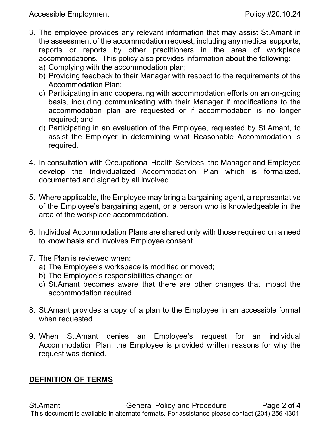- 3. The employee provides any relevant information that may assist St.Amant in the assessment of the accommodation request, including any medical supports, reports or reports by other practitioners in the area of workplace accommodations. This policy also provides information about the following:
	- a) Complying with the accommodation plan;
	- b) Providing feedback to their Manager with respect to the requirements of the Accommodation Plan;
	- c) Participating in and cooperating with accommodation efforts on an on-going basis, including communicating with their Manager if modifications to the accommodation plan are requested or if accommodation is no longer required; and
	- d) Participating in an evaluation of the Employee, requested by St.Amant, to assist the Employer in determining what Reasonable Accommodation is required.
- 4. In consultation with Occupational Health Services, the Manager and Employee develop the Individualized Accommodation Plan which is formalized, documented and signed by all involved.
- 5. Where applicable, the Employee may bring a bargaining agent, a representative of the Employee's bargaining agent, or a person who is knowledgeable in the area of the workplace accommodation.
- 6. Individual Accommodation Plans are shared only with those required on a need to know basis and involves Employee consent.
- 7. The Plan is reviewed when:
	- a) The Employee's workspace is modified or moved;
	- b) The Employee's responsibilities change; or
	- c) St.Amant becomes aware that there are other changes that impact the accommodation required.
- 8. St.Amant provides a copy of a plan to the Employee in an accessible format when requested.
- 9. When St.Amant denies an Employee's request for an individual Accommodation Plan, the Employee is provided written reasons for why the request was denied.

## **DEFINITION OF TERMS**